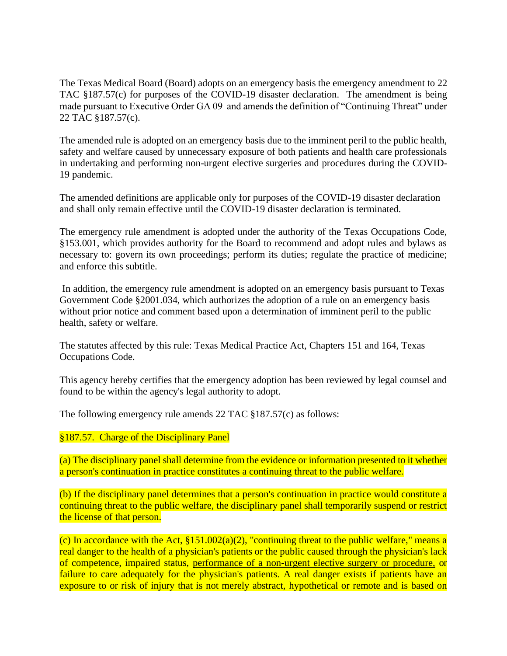The Texas Medical Board (Board) adopts on an emergency basis the emergency amendment to 22 TAC §187.57(c) for purposes of the COVID-19 disaster declaration. The amendment is being made pursuant to Executive Order GA 09 and amends the definition of "Continuing Threat" under 22 TAC §187.57(c).

The amended rule is adopted on an emergency basis due to the imminent peril to the public health, safety and welfare caused by unnecessary exposure of both patients and health care professionals in undertaking and performing non-urgent elective surgeries and procedures during the COVID-19 pandemic.

The amended definitions are applicable only for purposes of the COVID-19 disaster declaration and shall only remain effective until the COVID-19 disaster declaration is terminated.

The emergency rule amendment is adopted under the authority of the Texas Occupations Code, §153.001, which provides authority for the Board to recommend and adopt rules and bylaws as necessary to: govern its own proceedings; perform its duties; regulate the practice of medicine; and enforce this subtitle.

In addition, the emergency rule amendment is adopted on an emergency basis pursuant to Texas Government Code §2001.034, which authorizes the adoption of a rule on an emergency basis without prior notice and comment based upon a determination of imminent peril to the public health, safety or welfare.

The statutes affected by this rule: Texas Medical Practice Act, Chapters 151 and 164, Texas Occupations Code.

This agency hereby certifies that the emergency adoption has been reviewed by legal counsel and found to be within the agency's legal authority to adopt.

The following emergency rule amends 22 TAC §187.57(c) as follows:

§187.57. Charge of the Disciplinary Panel

(a) The disciplinary panel shall determine from the evidence or information presented to it whether a person's continuation in practice constitutes a continuing threat to the public welfare.

(b) If the disciplinary panel determines that a person's continuation in practice would constitute a continuing threat to the public welfare, the disciplinary panel shall temporarily suspend or restrict the license of that person.

(c) In accordance with the Act,  $$151.002(a)(2)$ , "continuing threat to the public welfare," means a real danger to the health of a physician's patients or the public caused through the physician's lack of competence, impaired status, performance of a non-urgent elective surgery or procedure, or failure to care adequately for the physician's patients. A real danger exists if patients have an exposure to or risk of injury that is not merely abstract, hypothetical or remote and is based on